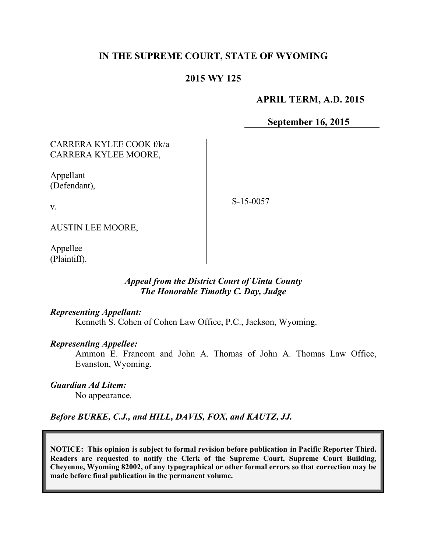# **IN THE SUPREME COURT, STATE OF WYOMING**

## **2015 WY 125**

#### **APRIL TERM, A.D. 2015**

**September 16, 2015**

### CARRERA KYLEE COOK f/k/a CARRERA KYLEE MOORE,

Appellant (Defendant),

v.

S-15-0057

AUSTIN LEE MOORE,

Appellee (Plaintiff).

### *Appeal from the District Court of Uinta County The Honorable Timothy C. Day, Judge*

#### *Representing Appellant:*

Kenneth S. Cohen of Cohen Law Office, P.C., Jackson, Wyoming.

#### *Representing Appellee:*

Ammon E. Francom and John A. Thomas of John A. Thomas Law Office, Evanston, Wyoming.

*Guardian Ad Litem:*

No appearance.

*Before BURKE, C.J., and HILL, DAVIS, FOX, and KAUTZ, JJ.*

**NOTICE: This opinion is subject to formal revision before publication in Pacific Reporter Third. Readers are requested to notify the Clerk of the Supreme Court, Supreme Court Building, Cheyenne, Wyoming 82002, of any typographical or other formal errors so that correction may be made before final publication in the permanent volume.**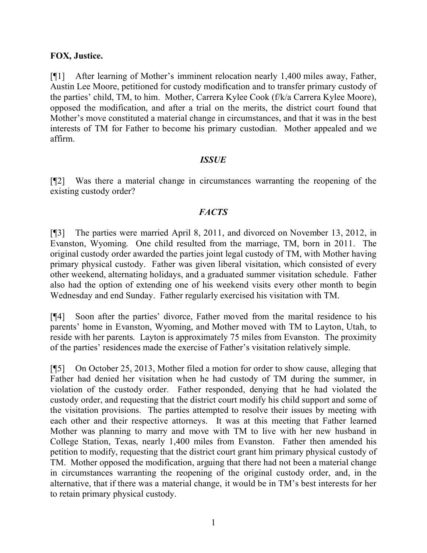## **FOX, Justice.**

[¶1] After learning of Mother's imminent relocation nearly 1,400 miles away, Father, Austin Lee Moore, petitioned for custody modification and to transfer primary custody of the parties' child, TM, to him. Mother, Carrera Kylee Cook (f/k/a Carrera Kylee Moore), opposed the modification, and after a trial on the merits, the district court found that Mother's move constituted a material change in circumstances, and that it was in the best interests of TM for Father to become his primary custodian. Mother appealed and we affirm.

### *ISSUE*

[¶2] Was there a material change in circumstances warranting the reopening of the existing custody order?

## *FACTS*

[¶3] The parties were married April 8, 2011, and divorced on November 13, 2012, in Evanston, Wyoming. One child resulted from the marriage, TM, born in 2011. The original custody order awarded the parties joint legal custody of TM, with Mother having primary physical custody. Father was given liberal visitation, which consisted of every other weekend, alternating holidays, and a graduated summer visitation schedule. Father also had the option of extending one of his weekend visits every other month to begin Wednesday and end Sunday. Father regularly exercised his visitation with TM.

[¶4] Soon after the parties' divorce, Father moved from the marital residence to his parents' home in Evanston, Wyoming, and Mother moved with TM to Layton, Utah, to reside with her parents. Layton is approximately 75 miles from Evanston. The proximity of the parties' residences made the exercise of Father's visitation relatively simple.

[¶5] On October 25, 2013, Mother filed a motion for order to show cause, alleging that Father had denied her visitation when he had custody of TM during the summer, in violation of the custody order. Father responded, denying that he had violated the custody order, and requesting that the district court modify his child support and some of the visitation provisions. The parties attempted to resolve their issues by meeting with each other and their respective attorneys. It was at this meeting that Father learned Mother was planning to marry and move with TM to live with her new husband in College Station, Texas, nearly 1,400 miles from Evanston. Father then amended his petition to modify, requesting that the district court grant him primary physical custody of TM. Mother opposed the modification, arguing that there had not been a material change in circumstances warranting the reopening of the original custody order, and, in the alternative, that if there was a material change, it would be in TM's best interests for her to retain primary physical custody.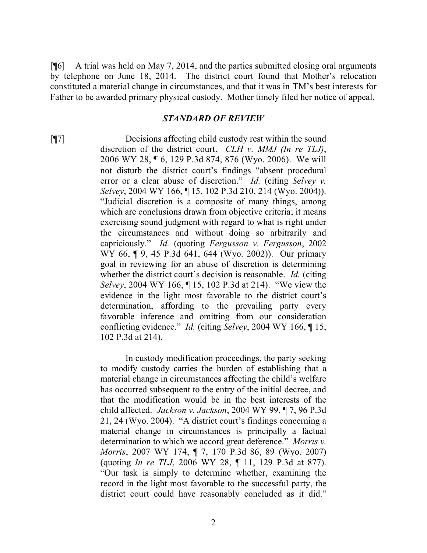[¶6] A trial was held on May 7, 2014, and the parties submitted closing oral arguments by telephone on June 18, 2014. The district court found that Mother's relocation constituted a material change in circumstances, and that it was in TM's best interests for Father to be awarded primary physical custody. Mother timely filed her notice of appeal.

#### *STANDARD OF REVIEW*

[¶7] Decisions affecting child custody rest within the sound discretion of the district court. *CLH v. MMJ (In re TLJ)*, 2006 WY 28, ¶ 6, 129 P.3d 874, 876 (Wyo. 2006). We will not disturb the district court's findings "absent procedural error or a clear abuse of discretion." *Id.* (citing *Selvey v. Selvey*, 2004 WY 166, ¶ 15, 102 P.3d 210, 214 (Wyo. 2004)). "Judicial discretion is a composite of many things, among which are conclusions drawn from objective criteria; it means exercising sound judgment with regard to what is right under the circumstances and without doing so arbitrarily and capriciously." *Id.* (quoting *Fergusson v. Fergusson*, 2002 WY 66, ¶ 9, 45 P.3d 641, 644 (Wyo. 2002)). Our primary goal in reviewing for an abuse of discretion is determining whether the district court's decision is reasonable. *Id.* (citing *Selvey*, 2004 WY 166, ¶ 15, 102 P.3d at 214). "We view the evidence in the light most favorable to the district court's determination, affording to the prevailing party every favorable inference and omitting from our consideration conflicting evidence." *Id.* (citing *Selvey*, 2004 WY 166, ¶ 15, 102 P.3d at 214).

> In custody modification proceedings, the party seeking to modify custody carries the burden of establishing that a material change in circumstances affecting the child's welfare has occurred subsequent to the entry of the initial decree, and that the modification would be in the best interests of the child affected. *Jackson v. Jackson*, 2004 WY 99, ¶ 7, 96 P.3d 21, 24 (Wyo. 2004). "A district court's findings concerning a material change in circumstances is principally a factual determination to which we accord great deference." *Morris v. Morris*, 2007 WY 174, ¶ 7, 170 P.3d 86, 89 (Wyo. 2007) (quoting *In re TLJ*, 2006 WY 28, ¶ 11, 129 P.3d at 877). "Our task is simply to determine whether, examining the record in the light most favorable to the successful party, the district court could have reasonably concluded as it did."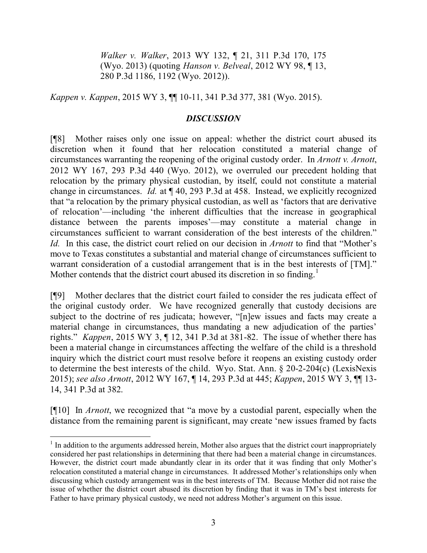*Walker v. Walker*, 2013 WY 132, ¶ 21, 311 P.3d 170, 175 (Wyo. 2013) (quoting *Hanson v. Belveal*, 2012 WY 98, ¶ 13, 280 P.3d 1186, 1192 (Wyo. 2012)).

*Kappen v. Kappen*, 2015 WY 3, ¶¶ 10-11, 341 P.3d 377, 381 (Wyo. 2015).

# *DISCUSSION*

[¶8] Mother raises only one issue on appeal: whether the district court abused its discretion when it found that her relocation constituted a material change of circumstances warranting the reopening of the original custody order. In *Arnott v. Arnott*, 2012 WY 167, 293 P.3d 440 (Wyo. 2012), we overruled our precedent holding that relocation by the primary physical custodian, by itself, could not constitute a material change in circumstances. *Id.* at ¶ 40, 293 P.3d at 458. Instead, we explicitly recognized that "a relocation by the primary physical custodian, as well as 'factors that are derivative of relocation'—including 'the inherent difficulties that the increase in geographical distance between the parents imposes'—may constitute a material change in circumstances sufficient to warrant consideration of the best interests of the children." *Id.* In this case, the district court relied on our decision in *Arnott* to find that "Mother's move to Texas constitutes a substantial and material change of circumstances sufficient to warrant consideration of a custodial arrangement that is in the best interests of [TM]." Mother contends that the district court abused its discretion in so finding.<sup>1</sup>

[¶9] Mother declares that the district court failed to consider the res judicata effect of the original custody order. We have recognized generally that custody decisions are subject to the doctrine of res judicata; however, "[n]ew issues and facts may create a material change in circumstances, thus mandating a new adjudication of the parties' rights." *Kappen*, 2015 WY 3, ¶ 12, 341 P.3d at 381-82. The issue of whether there has been a material change in circumstances affecting the welfare of the child is a threshold inquiry which the district court must resolve before it reopens an existing custody order to determine the best interests of the child. Wyo. Stat. Ann. § 20-2-204(c) (LexisNexis 2015); *see also Arnott*, 2012 WY 167, ¶ 14, 293 P.3d at 445; *Kappen*, 2015 WY 3, ¶¶ 13- 14, 341 P.3d at 382.

[¶10] In *Arnott*, we recognized that "a move by a custodial parent, especially when the distance from the remaining parent is significant, may create 'new issues framed by facts

<sup>&</sup>lt;sup>1</sup> In addition to the arguments addressed herein, Mother also argues that the district court inappropriately considered her past relationships in determining that there had been a material change in circumstances. However, the district court made abundantly clear in its order that it was finding that only Mother's relocation constituted a material change in circumstances. It addressed Mother's relationships only when discussing which custody arrangement was in the best interests of TM. Because Mother did not raise the issue of whether the district court abused its discretion by finding that it was in TM's best interests for Father to have primary physical custody, we need not address Mother's argument on this issue.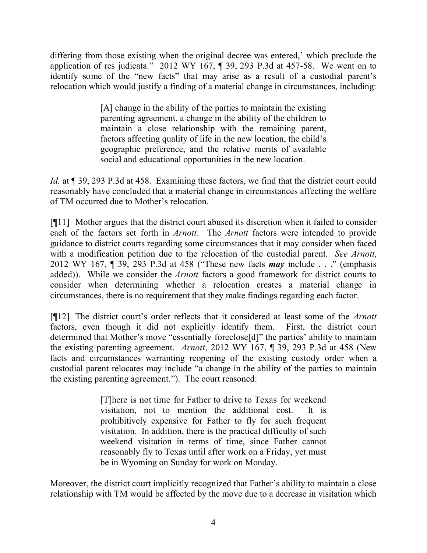differing from those existing when the original decree was entered,' which preclude the application of res judicata." 2012 WY 167, ¶ 39, 293 P.3d at 457-58. We went on to identify some of the "new facts" that may arise as a result of a custodial parent's relocation which would justify a finding of a material change in circumstances, including:

> [A] change in the ability of the parties to maintain the existing parenting agreement, a change in the ability of the children to maintain a close relationship with the remaining parent, factors affecting quality of life in the new location, the child's geographic preference, and the relative merits of available social and educational opportunities in the new location.

*Id.* at  $\sim$  39, 293 P.3d at 458. Examining these factors, we find that the district court could reasonably have concluded that a material change in circumstances affecting the welfare of TM occurred due to Mother's relocation.

[¶11] Mother argues that the district court abused its discretion when it failed to consider each of the factors set forth in *Arnott*. The *Arnott* factors were intended to provide guidance to district courts regarding some circumstances that it may consider when faced with a modification petition due to the relocation of the custodial parent. *See Arnott*, 2012 WY 167, ¶ 39, 293 P.3d at 458 ("These new facts *may* include . . ." (emphasis added)). While we consider the *Arnott* factors a good framework for district courts to consider when determining whether a relocation creates a material change in circumstances, there is no requirement that they make findings regarding each factor.

[¶12] The district court's order reflects that it considered at least some of the *Arnott* factors, even though it did not explicitly identify them. First, the district court determined that Mother's move "essentially foreclose[d]" the parties' ability to maintain the existing parenting agreement. *Arnott*, 2012 WY 167, ¶ 39, 293 P.3d at 458 (New facts and circumstances warranting reopening of the existing custody order when a custodial parent relocates may include "a change in the ability of the parties to maintain the existing parenting agreement."). The court reasoned:

> [T]here is not time for Father to drive to Texas for weekend visitation, not to mention the additional cost. It is prohibitively expensive for Father to fly for such frequent visitation. In addition, there is the practical difficulty of such weekend visitation in terms of time, since Father cannot reasonably fly to Texas until after work on a Friday, yet must be in Wyoming on Sunday for work on Monday.

Moreover, the district court implicitly recognized that Father's ability to maintain a close relationship with TM would be affected by the move due to a decrease in visitation which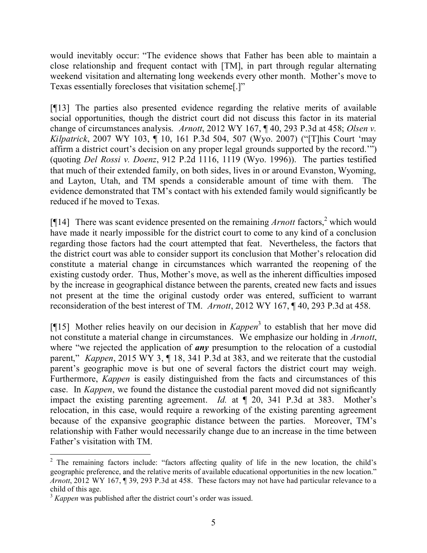would inevitably occur: "The evidence shows that Father has been able to maintain a close relationship and frequent contact with [TM], in part through regular alternating weekend visitation and alternating long weekends every other month. Mother's move to Texas essentially forecloses that visitation scheme[.]"

[¶13] The parties also presented evidence regarding the relative merits of available social opportunities, though the district court did not discuss this factor in its material change of circumstances analysis. *Arnott*, 2012 WY 167, ¶ 40, 293 P.3d at 458; *Olsen v. Kilpatrick*, 2007 WY 103, ¶ 10, 161 P.3d 504, 507 (Wyo. 2007) ("[T]his Court 'may affirm a district court's decision on any proper legal grounds supported by the record.'") (quoting *Del Rossi v. Doenz*, 912 P.2d 1116, 1119 (Wyo. 1996)). The parties testified that much of their extended family, on both sides, lives in or around Evanston, Wyoming, and Layton, Utah, and TM spends a considerable amount of time with them. The evidence demonstrated that TM's contact with his extended family would significantly be reduced if he moved to Texas.

[ $[$ [14] There was scant evidence presented on the remaining *Arnott* factors,<sup>2</sup> which would have made it nearly impossible for the district court to come to any kind of a conclusion regarding those factors had the court attempted that feat. Nevertheless, the factors that the district court was able to consider support its conclusion that Mother's relocation did constitute a material change in circumstances which warranted the reopening of the existing custody order. Thus, Mother's move, as well as the inherent difficulties imposed by the increase in geographical distance between the parents, created new facts and issues not present at the time the original custody order was entered, sufficient to warrant reconsideration of the best interest of TM. *Arnott*, 2012 WY 167, ¶ 40, 293 P.3d at 458.

[¶15] Mother relies heavily on our decision in *Kappen*<sup>3</sup> to establish that her move did not constitute a material change in circumstances. We emphasize our holding in *Arnott*, where "we rejected the application of **any** presumption to the relocation of a custodial parent," *Kappen*, 2015 WY 3, ¶ 18, 341 P.3d at 383, and we reiterate that the custodial parent's geographic move is but one of several factors the district court may weigh. Furthermore, *Kappen* is easily distinguished from the facts and circumstances of this case. In *Kappen*, we found the distance the custodial parent moved did not significantly impact the existing parenting agreement. *Id.* at ¶ 20, 341 P.3d at 383. Mother's relocation, in this case, would require a reworking of the existing parenting agreement because of the expansive geographic distance between the parties. Moreover, TM's relationship with Father would necessarily change due to an increase in the time between Father's visitation with TM.

 $2$  The remaining factors include: "factors affecting quality of life in the new location, the child's geographic preference, and the relative merits of available educational opportunities in the new location." *Arnott*, 2012 WY 167, ¶ 39, 293 P.3d at 458. These factors may not have had particular relevance to a child of this age.

<sup>&</sup>lt;sup>3</sup> *Kappen* was published after the district court's order was issued.